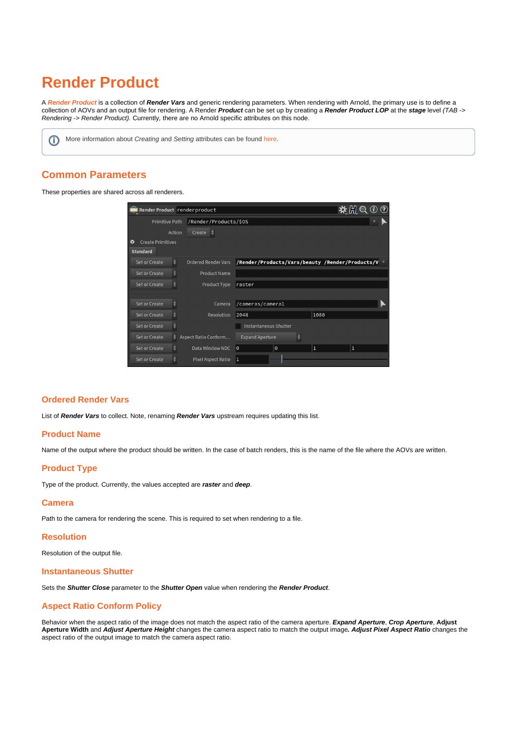# **Render Product**

A **[Render Product](https://www.sidefx.com/docs/houdini/nodes/lop/renderproduct.html)** is a collection of **Render Vars** and generic rendering parameters. When rendering with Arnold, the primary use is to define a collection of AOVs and an output file for rendering. A Render **Product** can be set up by creating a **Render Product LOP** at the **stage** level (TAB -> Rendering -> Render Product). Currently, there are no Arnold specific attributes on this node.

**(iii)** More information about Creating and Setting attributes can be found [here.](https://docs.arnoldrenderer.com/pages/viewpage.action?pageId=119112430)

# **Common Parameters**

These properties are shared across all renderers.

| Render Product render product         |                            |                                                 |  |                |   |  |
|---------------------------------------|----------------------------|-------------------------------------------------|--|----------------|---|--|
| Primitive Path                        | /Render/Products/\$0S      |                                                 |  |                |   |  |
| Action                                | Create                     |                                                 |  |                |   |  |
| $\bullet$<br><b>Create Primitives</b> |                            |                                                 |  |                |   |  |
| <b>Standard</b>                       |                            |                                                 |  |                |   |  |
| ♦<br>Set or Create                    | <b>Ordered Render Vars</b> | /Render/Products/Vars/beauty /Render/Products/V |  |                |   |  |
| ÷<br>Set or Create                    | <b>Product Name</b>        |                                                 |  |                |   |  |
| ≜<br>Set or Create                    | Product Type               | raster                                          |  |                |   |  |
|                                       |                            |                                                 |  |                |   |  |
| ٠<br>Set or Create                    | Camera                     | /cameras/cameral                                |  |                |   |  |
| Set or Create                         | <b>Resolution</b>          | 2048                                            |  | 1080           |   |  |
| Set or Create                         |                            | Instantaneous Shutter                           |  |                |   |  |
| Set or Create<br>٠                    | Aspect Ratio Conform       | <b>Expand Aperture</b>                          |  |                |   |  |
| ÷<br>Set or Create                    | Data Window NDC            | $\odot$<br>$\theta$                             |  | $\overline{1}$ | 1 |  |
| Set or Create                         | Pixel Aspect Ratio         | 1                                               |  |                |   |  |

#### **Ordered Render Vars**

List of **Render Vars** to collect. Note, renaming **Render Vars** upstream requires updating this list.

#### <span id="page-0-0"></span>**[Product Name](#page-0-0)**

Name of the output where the product should be written. In the case of batch renders, this is the name of the file where the AOVs are written.

## **Product Type**

Type of the product. Currently, the values accepted are **raster** and **deep**.

#### **Camera**

Path to the camera for rendering the scene. This is required to set when rendering to a file.

#### **Resolution**

Resolution of the output file.

#### **Instantaneous Shutter**

Sets the **Shutter Close** parameter to the **Shutter Open** value when rendering the **Render Product**.

## <span id="page-0-1"></span>**[Aspect Ratio Conform Policy](#page-0-1)**

<span id="page-0-2"></span>Behavior when the aspect ratio of the image does not match the aspect ratio of the camera aperture. **Expand Aperture**, **Crop Aperture**, **Adjust Aperture Width** and **Adjust Aperture Height** changes the camera aspect ratio to match the output image**. Adjust Pixel Aspect Ratio** changes the aspect ratio of the output image to match the camera aspect ratio.